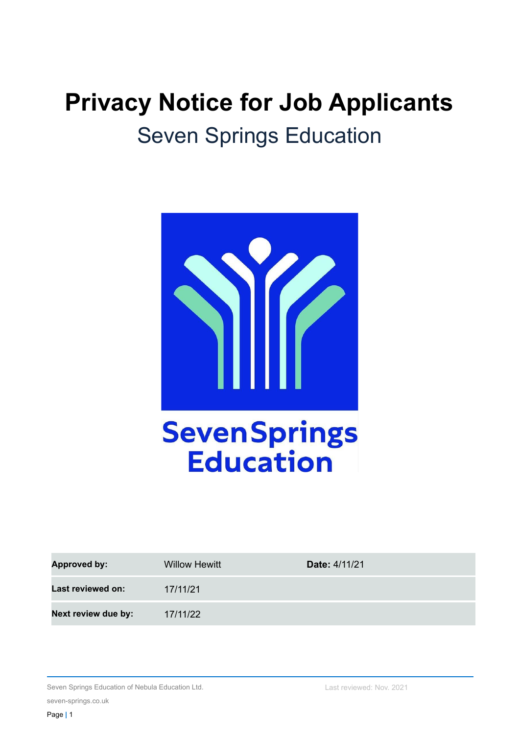# **Privacy Notice for Job Applicants** Seven Springs Education



| <b>Approved by:</b> | <b>Willow Hewitt</b> | <b>Date: 4/11/21</b> |
|---------------------|----------------------|----------------------|
| Last reviewed on:   | 17/11/21             |                      |
| Next review due by: | 17/11/22             |                      |

Seven Springs Education of Nebula Education Ltd.

seven-springs.co.uk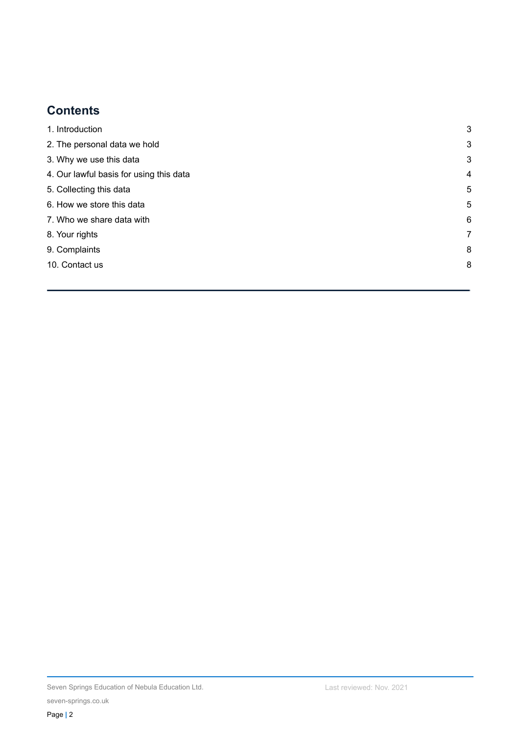# **Contents**

<span id="page-1-0"></span>

| 1. Introduction                         | 3 |
|-----------------------------------------|---|
| 2. The personal data we hold            | 3 |
| 3. Why we use this data                 | 3 |
| 4. Our lawful basis for using this data | 4 |
| 5. Collecting this data                 | 5 |
| 6. How we store this data               | 5 |
| 7. Who we share data with               | 6 |
| 8. Your rights                          | 7 |
| 9. Complaints                           | 8 |
| 10. Contact us                          | 8 |
|                                         |   |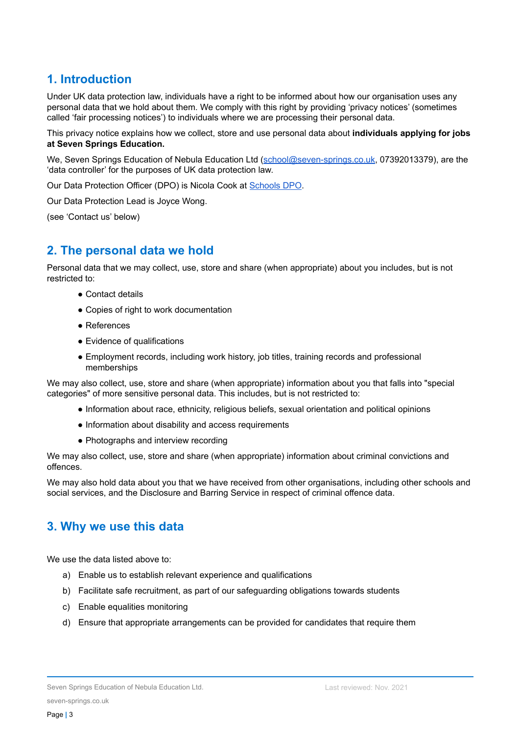# **1. Introduction**

Under UK data protection law, individuals have a right to be informed about how our organisation uses any personal data that we hold about them. We comply with this right by providing 'privacy notices' (sometimes called 'fair processing notices') to individuals where we are processing their personal data.

This privacy notice explains how we collect, store and use personal data about **individuals applying for jobs at Seven Springs Education.**

We, Seven Springs Education of Nebula Education Ltd [\(school@seven-springs.co.uk,](mailto:school@seven-springs.co.uk) 07392013379), are the 'data controller' for the purposes of UK data protection law.

Our Data Protection Officer (DPO) is Nicola Cook at [Schools](https://schoolsdpo.com/) DPO.

Our Data Protection Lead is Joyce Wong.

<span id="page-2-0"></span>(see 'Contact us' below)

## **2. The personal data we hold**

Personal data that we may collect, use, store and share (when appropriate) about you includes, but is not restricted to:

- Contact details
- Copies of right to work documentation
- References
- Evidence of qualifications
- Employment records, including work history, job titles, training records and professional memberships

We may also collect, use, store and share (when appropriate) information about you that falls into "special categories" of more sensitive personal data. This includes, but is not restricted to:

- Information about race, ethnicity, religious beliefs, sexual orientation and political opinions
- Information about disability and access requirements
- Photographs and interview recording

We may also collect, use, store and share (when appropriate) information about criminal convictions and offences.

We may also hold data about you that we have received from other organisations, including other schools and social services, and the Disclosure and Barring Service in respect of criminal offence data.

### <span id="page-2-1"></span>**3. Why we use this data**

We use the data listed above to:

- a) Enable us to establish relevant experience and qualifications
- b) Facilitate safe recruitment, as part of our safeguarding obligations towards students
- c) Enable equalities monitoring
- d) Ensure that appropriate arrangements can be provided for candidates that require them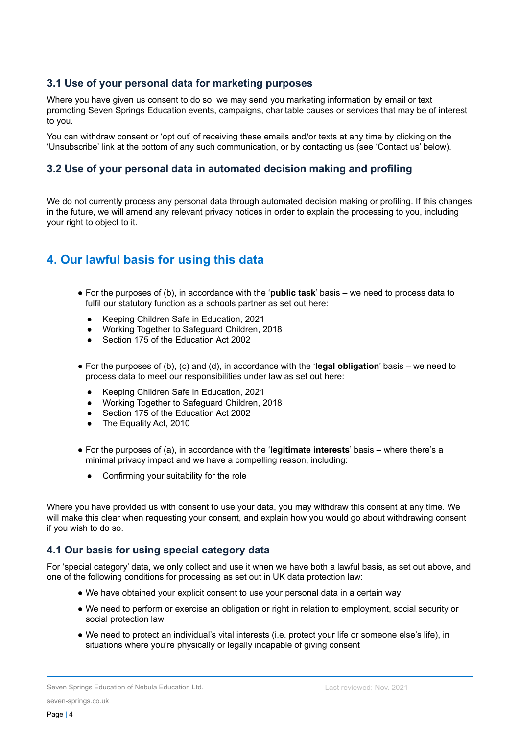#### **3.1 Use of your personal data for marketing purposes**

Where you have given us consent to do so, we may send you marketing information by email or text promoting Seven Springs Education events, campaigns, charitable causes or services that may be of interest to you.

You can withdraw consent or 'opt out' of receiving these emails and/or texts at any time by clicking on the 'Unsubscribe' link at the bottom of any such communication, or by contacting us (see 'Contact us' below).

#### **3.2 Use of your personal data in automated decision making and profiling**

We do not currently process any personal data through automated decision making or profiling. If this changes in the future, we will amend any relevant privacy notices in order to explain the processing to you, including your right to object to it.

## **4. Our lawful basis for using this data**

- For the purposes of (b), in accordance with the '**public task**' basis we need to process data to fulfil our statutory function as a schools partner as set out here:
	- Keeping Children Safe in Education, 2021
	- Working Together to Safeguard Children, 2018
	- Section 175 of the Education Act 2002
- For the purposes of (b), (c) and (d), in accordance with the '**legal obligation**' basis we need to process data to meet our responsibilities under law as set out here:
	- Keeping Children Safe in Education, 2021
	- Working Together to Safeguard Children, 2018
	- Section 175 of the Education Act 2002
	- The Equality Act, 2010
- For the purposes of (a), in accordance with the '**legitimate interests**' basis where there's a minimal privacy impact and we have a compelling reason, including:
	- Confirming your suitability for the role

Where you have provided us with consent to use your data, you may withdraw this consent at any time. We will make this clear when requesting your consent, and explain how you would go about withdrawing consent if you wish to do so.

#### **4.1 Our basis for using special category data**

For 'special category' data, we only collect and use it when we have both a lawful basis, as set out above, and one of the following conditions for processing as set out in UK data protection law:

- We have obtained your explicit consent to use your personal data in a certain way
- We need to perform or exercise an obligation or right in relation to employment, social security or social protection law
- We need to protect an individual's vital interests (i.e. protect your life or someone else's life), in situations where you're physically or legally incapable of giving consent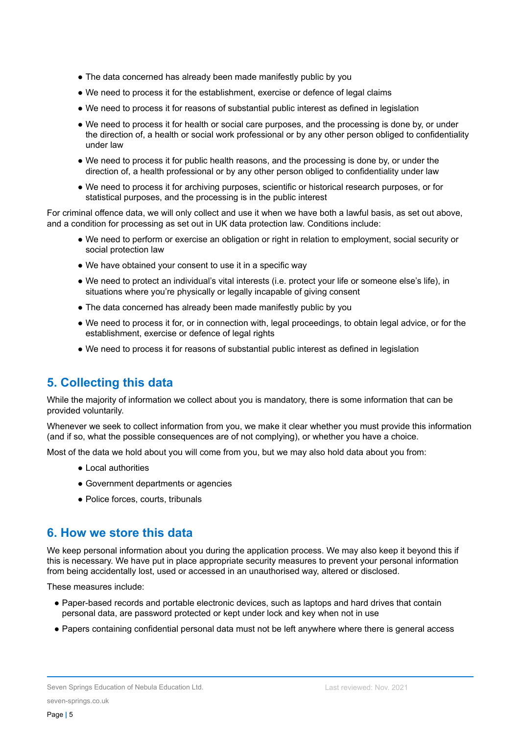- The data concerned has already been made manifestly public by you
- We need to process it for the establishment, exercise or defence of legal claims
- We need to process it for reasons of substantial public interest as defined in legislation
- We need to process it for health or social care purposes, and the processing is done by, or under the direction of, a health or social work professional or by any other person obliged to confidentiality under law
- We need to process it for public health reasons, and the processing is done by, or under the direction of, a health professional or by any other person obliged to confidentiality under law
- We need to process it for archiving purposes, scientific or historical research purposes, or for statistical purposes, and the processing is in the public interest

For criminal offence data, we will only collect and use it when we have both a lawful basis, as set out above, and a condition for processing as set out in UK data protection law. Conditions include:

- We need to perform or exercise an obligation or right in relation to employment, social security or social protection law
- We have obtained your consent to use it in a specific way
- We need to protect an individual's vital interests (i.e. protect your life or someone else's life), in situations where you're physically or legally incapable of giving consent
- The data concerned has already been made manifestly public by you
- We need to process it for, or in connection with, legal proceedings, to obtain legal advice, or for the establishment, exercise or defence of legal rights
- We need to process it for reasons of substantial public interest as defined in legislation

## <span id="page-4-0"></span>**5. Collecting this data**

While the majority of information we collect about you is mandatory, there is some information that can be provided voluntarily.

Whenever we seek to collect information from you, we make it clear whether you must provide this information (and if so, what the possible consequences are of not complying), or whether you have a choice.

Most of the data we hold about you will come from you, but we may also hold data about you from:

- Local authorities
- Government departments or agencies
- Police forces, courts, tribunals

### <span id="page-4-1"></span>**6. How we store this data**

We keep personal information about you during the application process. We may also keep it beyond this if this is necessary. We have put in place appropriate security measures to prevent your personal information from being accidentally lost, used or accessed in an unauthorised way, altered or disclosed.

These measures include:

- Paper-based records and portable electronic devices, such as laptops and hard drives that contain personal data, are password protected or kept under lock and key when not in use
- Papers containing confidential personal data must not be left anywhere where there is general access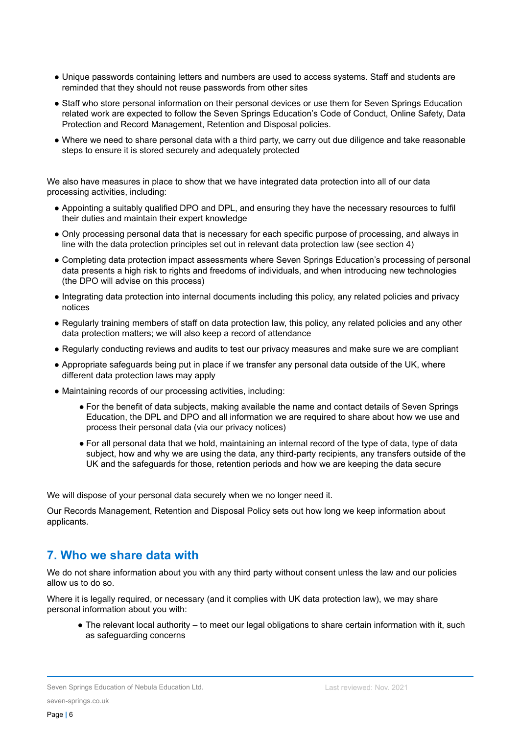- Unique passwords containing letters and numbers are used to access systems. Staff and students are reminded that they should not reuse passwords from other sites
- Staff who store personal information on their personal devices or use them for Seven Springs Education related work are expected to follow the Seven Springs Education's Code of Conduct, Online Safety, Data Protection and Record Management, Retention and Disposal policies.
- Where we need to share personal data with a third party, we carry out due diligence and take reasonable steps to ensure it is stored securely and adequately protected

We also have measures in place to show that we have integrated data protection into all of our data processing activities, including:

- Appointing a suitably qualified DPO and DPL, and ensuring they have the necessary resources to fulfil their duties and maintain their expert knowledge
- Only processing personal data that is necessary for each specific purpose of processing, and always in line with the data protection principles set out in relevant data protection law (see section 4)
- Completing data protection impact assessments where Seven Springs Education's processing of personal data presents a high risk to rights and freedoms of individuals, and when introducing new technologies (the DPO will advise on this process)
- Integrating data protection into internal documents including this policy, any related policies and privacy notices
- Regularly training members of staff on data protection law, this policy, any related policies and any other data protection matters; we will also keep a record of attendance
- Regularly conducting reviews and audits to test our privacy measures and make sure we are compliant
- Appropriate safeguards being put in place if we transfer any personal data outside of the UK, where different data protection laws may apply
- Maintaining records of our processing activities, including:
	- For the benefit of data subjects, making available the name and contact details of Seven Springs Education, the DPL and DPO and all information we are required to share about how we use and process their personal data (via our privacy notices)
	- For all personal data that we hold, maintaining an internal record of the type of data, type of data subject, how and why we are using the data, any third-party recipients, any transfers outside of the UK and the safeguards for those, retention periods and how we are keeping the data secure

We will dispose of your personal data securely when we no longer need it.

Our Records Management, Retention and Disposal Policy sets out how long we keep information about applicants.

## **7. Who we share data with**

We do not share information about you with any third party without consent unless the law and our policies allow us to do so.

Where it is legally required, or necessary (and it complies with UK data protection law), we may share personal information about you with:

• The relevant local authority – to meet our legal obligations to share certain information with it, such as safeguarding concerns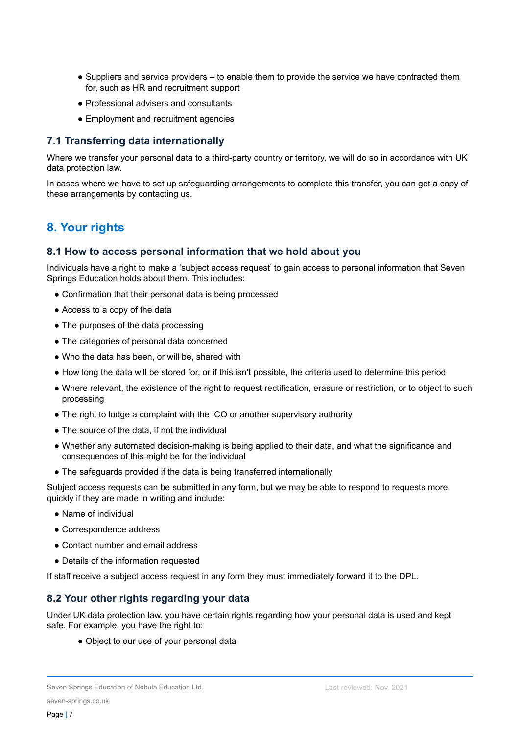- Suppliers and service providers to enable them to provide the service we have contracted them for, such as HR and recruitment support
- Professional advisers and consultants
- Employment and recruitment agencies

#### **7.1 Transferring data internationally**

Where we transfer your personal data to a third-party country or territory, we will do so in accordance with UK data protection law.

In cases where we have to set up safeguarding arrangements to complete this transfer, you can get a copy of these arrangements by contacting us.

# <span id="page-6-0"></span>**8. Your rights**

#### **8.1 How to access personal information that we hold about you**

Individuals have a right to make a 'subject access request' to gain access to personal information that Seven Springs Education holds about them. This includes:

- Confirmation that their personal data is being processed
- Access to a copy of the data
- The purposes of the data processing
- The categories of personal data concerned
- Who the data has been, or will be, shared with
- How long the data will be stored for, or if this isn't possible, the criteria used to determine this period
- Where relevant, the existence of the right to request rectification, erasure or restriction, or to object to such processing
- The right to lodge a complaint with the ICO or another supervisory authority
- The source of the data, if not the individual
- Whether any automated decision-making is being applied to their data, and what the significance and consequences of this might be for the individual
- The safeguards provided if the data is being transferred internationally

Subject access requests can be submitted in any form, but we may be able to respond to requests more quickly if they are made in writing and include:

- Name of individual
- Correspondence address
- Contact number and email address
- Details of the information requested

If staff receive a subject access request in any form they must immediately forward it to the DPL.

#### **8.2 Your other rights regarding your data**

Under UK data protection law, you have certain rights regarding how your personal data is used and kept safe. For example, you have the right to:

• Object to our use of your personal data